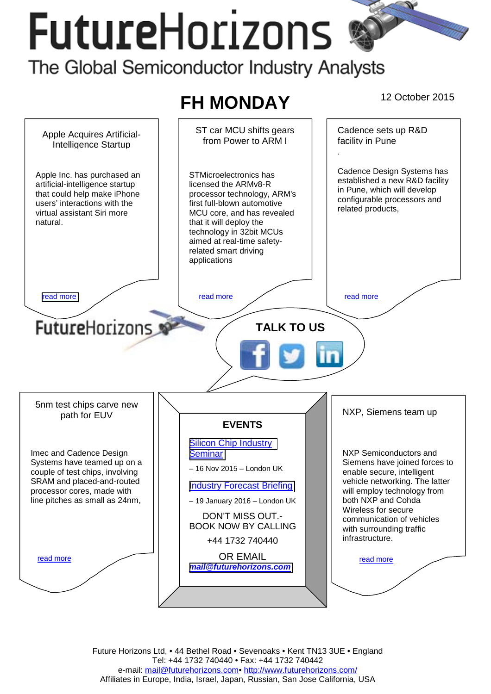# **FutureHorizons**



Future Horizons Ltd, • 44 Bethel Road • Sevenoaks • Kent TN13 3UE • England Tel: +44 1732 740440 • Fax: +44 1732 740442 e-mail: mail@futurehorizons.com• http://www.futurehorizons.com/ Affiliates in Europe, India, Israel, Japan, Russian, San Jose California, USA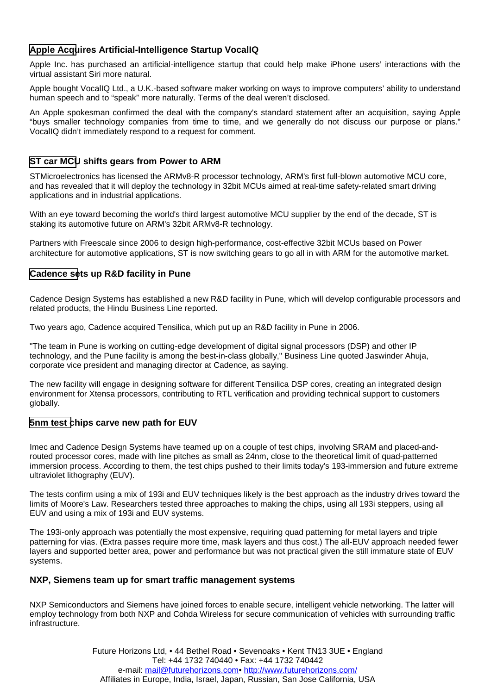# <span id="page-1-0"></span>**Apple Acquires Artificial-Intelligence Startup VocalIQ**

Apple Inc. has purchased an artificial-intelligence startup that could help make iPhone users' interactions with the virtual assistant Siri more natural.

Apple bought VocalIQ Ltd., a U.K.-based software maker working on ways to improve computers' ability to understand human speech and to "speak" more naturally. Terms of the deal weren't disclosed.

An Apple spokesman confirmed the deal with the company's standard statement after an acquisition, saying Apple "buys smaller technology companies from time to time, and we generally do not discuss our purpose or plans." VocalIQ didn't immediately respond to a request for comment.

## **ST car MCU shifts gears from Power to ARM**

STMicroelectronics has licensed the ARMv8-R processor technology, ARM's first full-blown automotive MCU core, and has revealed that it will deploy the technology in 32bit MCUs aimed at real-time safety-related smart driving applications and in industrial applications.

With an eye toward becoming the world's third largest automotive MCU supplier by the end of the decade, ST is staking its automotive future on ARM's 32bit ARMv8-R technology.

Partners with Freescale since 2006 to design high-performance, cost-effective 32bit MCUs based on Power architecture for automotive applications, ST is now switching gears to go all in with ARM for the automotive market.

### **Cadence sets up R&D facility in Pune**

Cadence Design Systems has established a new R&D facility in Pune, which will develop configurable processors and related products, the Hindu Business Line reported.

Two years ago, Cadence acquired Tensilica, which put up an R&D facility in Pune in 2006.

"The team in Pune is working on cutting-edge development of digital signal processors (DSP) and other IP technology, and the Pune facility is among the best-in-class globally," Business Line quoted Jaswinder Ahuja, corporate vice president and managing director at Cadence, as saying.

The new facility will engage in designing software for different Tensilica DSP cores, creating an integrated design environment for Xtensa processors, contributing to RTL verification and providing technical support to customers globally.

#### **5nm test chips carve new path for EUV**

Imec and Cadence Design Systems have teamed up on a couple of test chips, involving SRAM and placed-androuted processor cores, made with line pitches as small as 24nm, close to the theoretical limit of quad-patterned immersion process. According to them, the test chips pushed to their limits today's 193-immersion and future extreme ultraviolet lithography (EUV).

The tests confirm using a mix of 193i and EUV techniques likely is the best approach as the industry drives toward the limits of Moore's Law. Researchers tested three approaches to making the chips, using all 193i steppers, using all EUV and using a mix of 193i and EUV systems.

The 193i-only approach was potentially the most expensive, requiring quad patterning for metal layers and triple patterning for vias. (Extra passes require more time, mask layers and thus cost.) The all-EUV approach needed fewer layers and supported better area, power and performance but was not practical given the still immature state of EUV systems.

#### **NXP, Siemens team up for smart traffic management systems**

NXP Semiconductors and Siemens have joined forces to enable secure, intelligent vehicle networking. The latter will employ technology from both NXP and Cohda Wireless for secure communication of vehicles with surrounding traffic infrastructure.